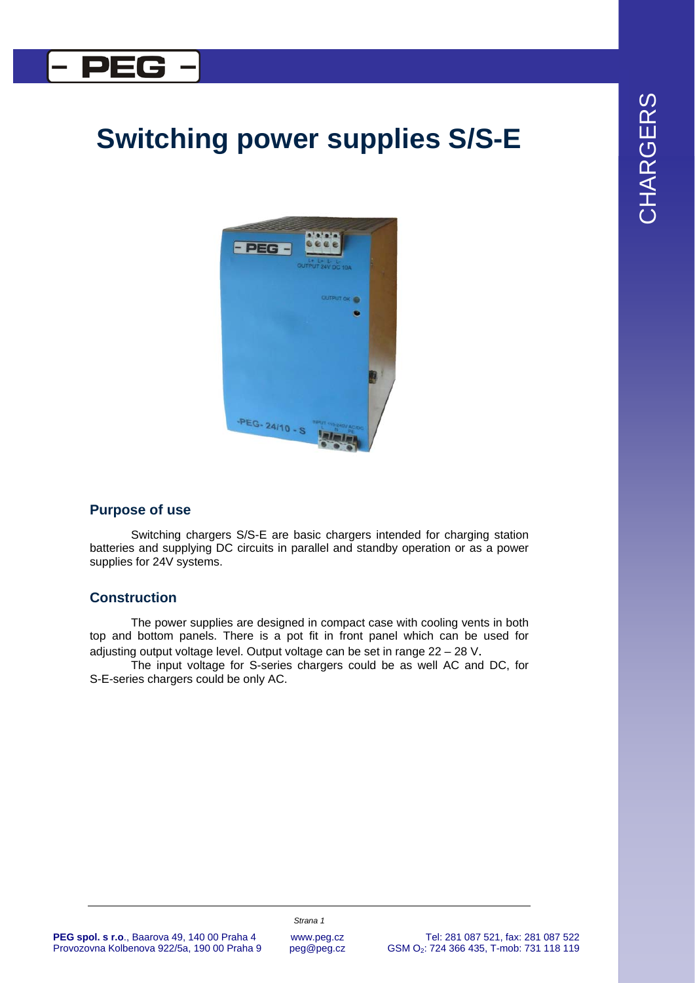# CHARGERS CHARGERS

### l DEC

## **Switching power supplies S/S-E**



#### **Purpose of use**

Switching chargers S/S-E are basic chargers intended for charging station batteries and supplying DC circuits in parallel and standby operation or as a power supplies for 24V systems.

#### **Construction**

The power supplies are designed in compact case with cooling vents in both top and bottom panels. There is a pot fit in front panel which can be used for adjusting output voltage level. Output voltage can be set in range 22 – 28 V.

The input voltage for S-series chargers could be as well AC and DC, for S-E-series chargers could be only AC.